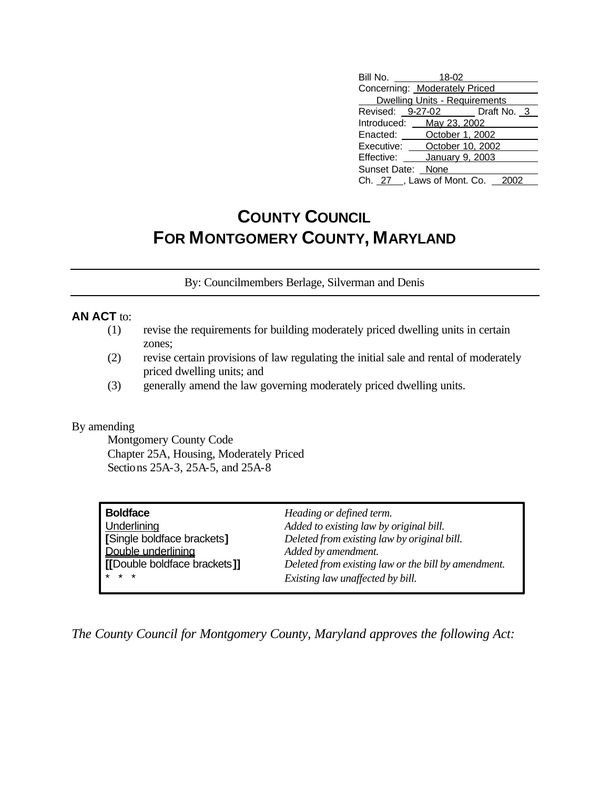| Bill No.                             | 18-02           |  |  |  |
|--------------------------------------|-----------------|--|--|--|
| Concerning: Moderately Priced        |                 |  |  |  |
| <b>Dwelling Units - Requirements</b> |                 |  |  |  |
| Revised: 9-27-02 Draft No. 3         |                 |  |  |  |
| Introduced: May 23, 2002             |                 |  |  |  |
| Enacted: October 1, 2002             |                 |  |  |  |
| Executive: October 10, 2002          |                 |  |  |  |
| Effective:                           | January 9, 2003 |  |  |  |
| Sunset Date: None                    |                 |  |  |  |
| Ch. 27 , Laws of Mont. Co. 2002      |                 |  |  |  |

## **COUNTY COUNCIL FOR MONTGOMERY COUNTY, MARYLAND**

By: Councilmembers Berlage, Silverman and Denis

#### **AN ACT** to:

- (1) revise the requirements for building moderately priced dwelling units in certain zones;
- (2) revise certain provisions of law regulating the initial sale and rental of moderately priced dwelling units; and
- (3) generally amend the law governing moderately priced dwelling units.

#### By amending

Montgomery County Code Chapter 25A, Housing, Moderately Priced Sections 25A-3, 25A-5, and 25A-8

| <b>Boldface</b>              | Heading or defined term.                            |
|------------------------------|-----------------------------------------------------|
| Underlining                  | Added to existing law by original bill.             |
| [Single boldface brackets]   | Deleted from existing law by original bill.         |
| Double underlining           | Added by amendment.                                 |
| [[Double boldface brackets]] | Deleted from existing law or the bill by amendment. |
| $* * *$                      | Existing law unaffected by bill.                    |

*The County Council for Montgomery County, Maryland approves the following Act:*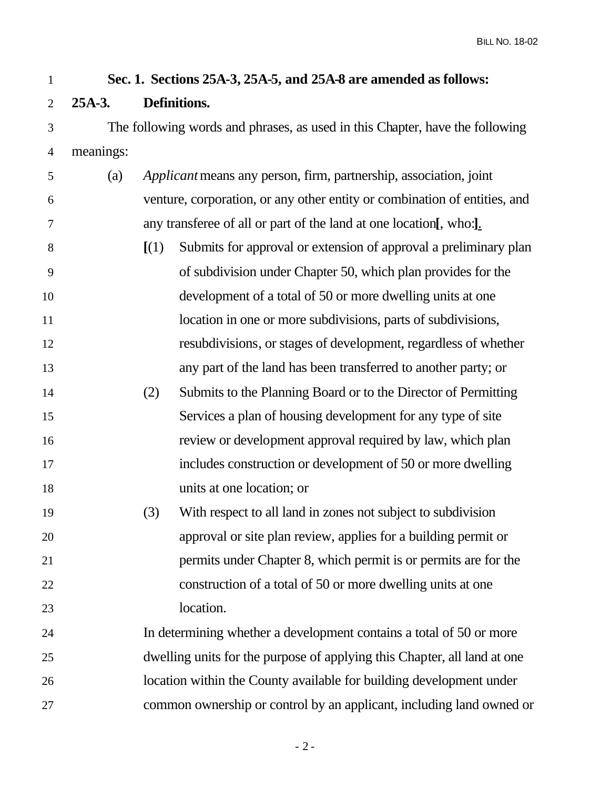# **Sec. 1. Sections 25A-3, 25A-5, and 25A-8 are amended as follows: 25A-3. Definitions.** The following words and phrases, as used in this Chapter, have the following meanings: (a) *Applicant* means any person, firm, partnership, association, joint venture, corporation, or any other entity or combination of entities, and any transferee of all or part of the land at one location**[**, who:**]**. **[**(1) Submits for approval or extension of approval a preliminary plan of subdivision under Chapter 50, which plan provides for the development of a total of 50 or more dwelling units at one 11 location in one or more subdivisions, parts of subdivisions, resubdivisions, or stages of development, regardless of whether any part of the land has been transferred to another party; or (2) Submits to the Planning Board or to the Director of Permitting Services a plan of housing development for any type of site review or development approval required by law, which plan includes construction or development of 50 or more dwelling units at one location; or (3) With respect to all land in zones not subject to subdivision approval or site plan review, applies for a building permit or permits under Chapter 8, which permit is or permits are for the construction of a total of 50 or more dwelling units at one location. In determining whether a development contains a total of 50 or more dwelling units for the purpose of applying this Chapter, all land at one location within the County available for building development under common ownership or control by an applicant, including land owned or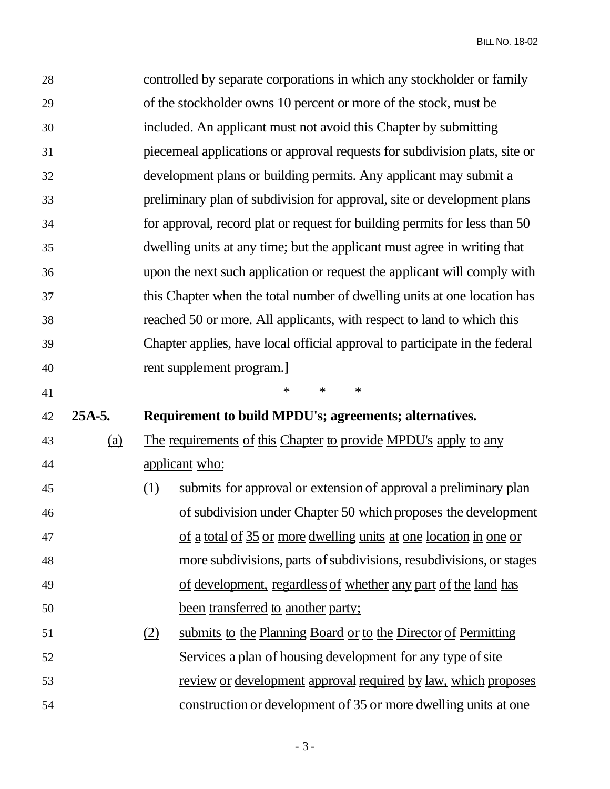| 28 |            |                                                                             | controlled by separate corporations in which any stockholder or family     |  |
|----|------------|-----------------------------------------------------------------------------|----------------------------------------------------------------------------|--|
| 29 |            |                                                                             | of the stockholder owns 10 percent or more of the stock, must be           |  |
| 30 |            |                                                                             | included. An applicant must not avoid this Chapter by submitting           |  |
| 31 |            |                                                                             | piecemeal applications or approval requests for subdivision plats, site or |  |
| 32 |            |                                                                             | development plans or building permits. Any applicant may submit a          |  |
| 33 |            |                                                                             | preliminary plan of subdivision for approval, site or development plans    |  |
| 34 |            |                                                                             | for approval, record plat or request for building permits for less than 50 |  |
| 35 |            |                                                                             | dwelling units at any time; but the applicant must agree in writing that   |  |
| 36 |            |                                                                             | upon the next such application or request the applicant will comply with   |  |
| 37 |            |                                                                             | this Chapter when the total number of dwelling units at one location has   |  |
| 38 |            | reached 50 or more. All applicants, with respect to land to which this      |                                                                            |  |
| 39 |            | Chapter applies, have local official approval to participate in the federal |                                                                            |  |
| 40 |            | rent supplement program.]                                                   |                                                                            |  |
|    |            |                                                                             | $\ast$<br>$\ast$<br>$\ast$                                                 |  |
| 41 |            |                                                                             |                                                                            |  |
| 42 | $25A-5.$   |                                                                             | Requirement to build MPDU's; agreements; alternatives.                     |  |
| 43 | <u>(a)</u> |                                                                             | The requirements of this Chapter to provide MPDU's apply to any            |  |
| 44 |            |                                                                             | applicant who:                                                             |  |
| 45 |            | <u>(1)</u>                                                                  | submits for approval or extension of approval a preliminary plan           |  |
| 46 |            |                                                                             | of subdivision under Chapter 50 which proposes the development             |  |
| 47 |            |                                                                             | <u>of a total of 35 or more dwelling units at one location in one or</u>   |  |
| 48 |            |                                                                             | more subdivisions, parts of subdivisions, resubdivisions, or stages        |  |
| 49 |            |                                                                             | of development, regardless of whether any part of the land has             |  |
| 50 |            |                                                                             | been transferred to another party;                                         |  |
| 51 |            | (2)                                                                         | submits to the Planning Board or to the Director of Permitting             |  |
| 52 |            |                                                                             | Services a plan of housing development for any type of site                |  |
| 53 |            |                                                                             | <u>review or development approval required by law, which proposes</u>      |  |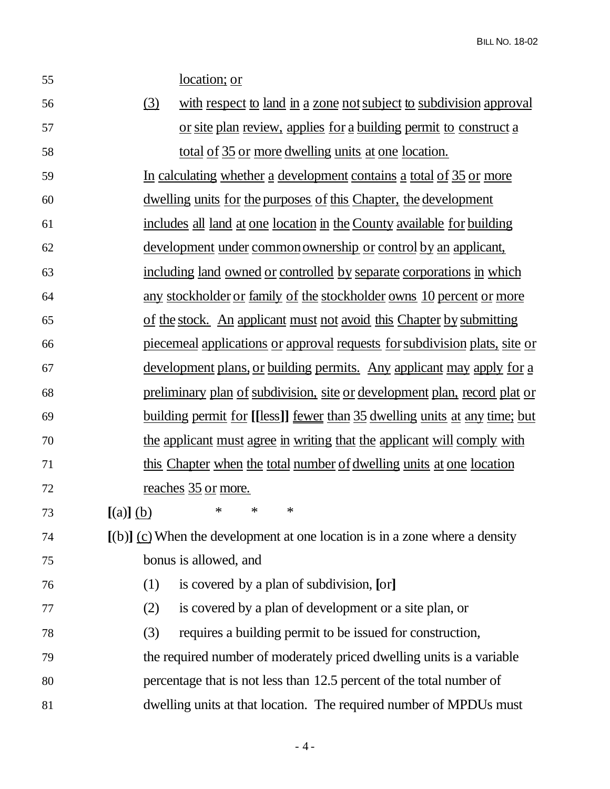location; or

| 56 | with respect to land in a zone not subject to subdivision approval<br>(3)         |
|----|-----------------------------------------------------------------------------------|
| 57 | or site plan review, applies for a building permit to construct a                 |
| 58 | <u>total of 35 or more dwelling units at one location.</u>                        |
| 59 | In calculating whether a development contains a total of 35 or more               |
| 60 | <u>dwelling units for the purposes of this Chapter, the development</u>           |
| 61 | includes all land at one location in the County available for building            |
| 62 | <u>development under common ownership or control by an applicant,</u>             |
| 63 | including land owned or controlled by separate corporations in which              |
| 64 | <u>any stockholder or family of the stockholder owns 10 percent or more</u>       |
| 65 | of the stock. An applicant must not avoid this Chapter by submitting              |
| 66 | <u>piecemeal applications or approval requests for subdivision plats, site or</u> |
| 67 | <u>development plans, or building permits. Any applicant may apply for a</u>      |
| 68 | preliminary plan of subdivision, site or development plan, record plat or         |
| 69 | <u>building permit for [[less]] fewer than 35 dwelling units at any time; but</u> |
| 70 | the applicant must agree in writing that the applicant will comply with           |
| 71 | this Chapter when the total number of dwelling units at one location              |
| 72 | <u>reaches</u> 35 or more.                                                        |
| 73 | $\ast$<br>$^{\ast}$<br>$\ast$<br>$[(a)]$ $(b)$                                    |
| 74 | $[(b)]$ (c) When the development at one location is in a zone where a density     |
| 75 | bonus is allowed, and                                                             |
| 76 | is covered by a plan of subdivision, [or]<br>(1)                                  |
| 77 | is covered by a plan of development or a site plan, or<br>(2)                     |
| 78 | requires a building permit to be issued for construction,<br>(3)                  |
| 79 | the required number of moderately priced dwelling units is a variable             |
| 80 | percentage that is not less than 12.5 percent of the total number of              |
| 81 | dwelling units at that location. The required number of MPDUs must                |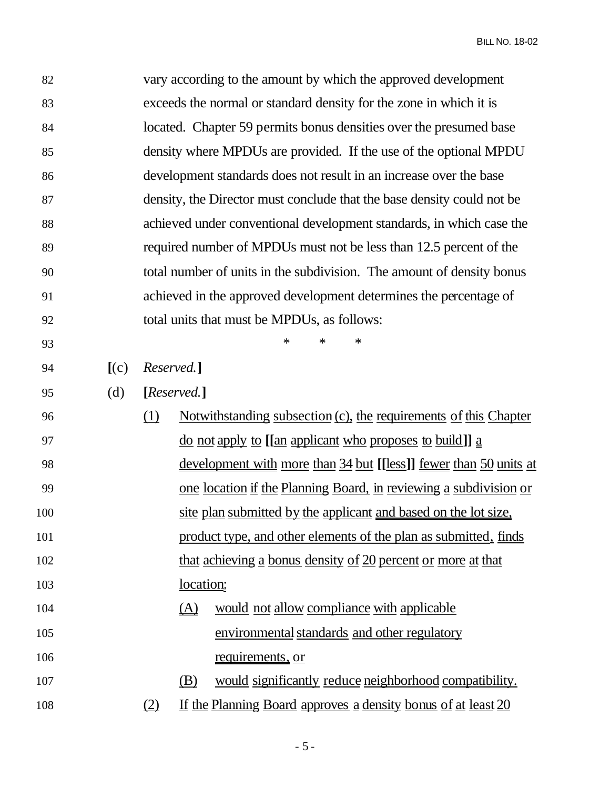| 82  |       |                                                                        |                                                                                          | vary according to the amount by which the approved development    |  |
|-----|-------|------------------------------------------------------------------------|------------------------------------------------------------------------------------------|-------------------------------------------------------------------|--|
| 83  |       | exceeds the normal or standard density for the zone in which it is     |                                                                                          |                                                                   |  |
| 84  |       | located. Chapter 59 permits bonus densities over the presumed base     |                                                                                          |                                                                   |  |
| 85  |       | density where MPDUs are provided. If the use of the optional MPDU      |                                                                                          |                                                                   |  |
| 86  |       | development standards does not result in an increase over the base     |                                                                                          |                                                                   |  |
| 87  |       | density, the Director must conclude that the base density could not be |                                                                                          |                                                                   |  |
| 88  |       | achieved under conventional development standards, in which case the   |                                                                                          |                                                                   |  |
| 89  |       | required number of MPDUs must not be less than 12.5 percent of the     |                                                                                          |                                                                   |  |
| 90  |       | total number of units in the subdivision. The amount of density bonus  |                                                                                          |                                                                   |  |
| 91  |       |                                                                        |                                                                                          | achieved in the approved development determines the percentage of |  |
| 92  |       |                                                                        |                                                                                          | total units that must be MPDUs, as follows:                       |  |
| 93  |       |                                                                        | $\ast$<br>$\ast$<br>$\ast$                                                               |                                                                   |  |
| 94  | [(c)] |                                                                        | Reserved.]                                                                               |                                                                   |  |
| 95  | (d)   |                                                                        | [Reserved.]                                                                              |                                                                   |  |
| 96  |       | (1)                                                                    | <u>Notwithstanding subsection (c), the requirements of this Chapter</u>                  |                                                                   |  |
| 97  |       |                                                                        | <u>do not apply to [[an applicant who proposes to build]] <math>\underline{a}</math></u> |                                                                   |  |
| 98  |       |                                                                        | <u>development with more than 34 but [[less]] fewer than 50 units at</u>                 |                                                                   |  |
| 99  |       | one location if the Planning Board, in reviewing a subdivision or      |                                                                                          |                                                                   |  |
| 100 |       | site plan submitted by the applicant and based on the lot size,        |                                                                                          |                                                                   |  |
| 101 |       | product type, and other elements of the plan as submitted, finds       |                                                                                          |                                                                   |  |
| 102 |       | that achieving a bonus density of 20 percent or more at that           |                                                                                          |                                                                   |  |
| 103 |       | <u>location:</u>                                                       |                                                                                          |                                                                   |  |
| 104 |       |                                                                        | $\Delta$                                                                                 | would not allow compliance with applicable                        |  |
| 105 |       |                                                                        |                                                                                          | environmental standards and other regulatory                      |  |
| 106 |       |                                                                        |                                                                                          | requirements, or                                                  |  |
| 107 |       |                                                                        | (B)                                                                                      | would significantly reduce neighborhood compatibility.            |  |
| 108 |       | If the Planning Board approves a density bonus of at least 20<br>(2)   |                                                                                          |                                                                   |  |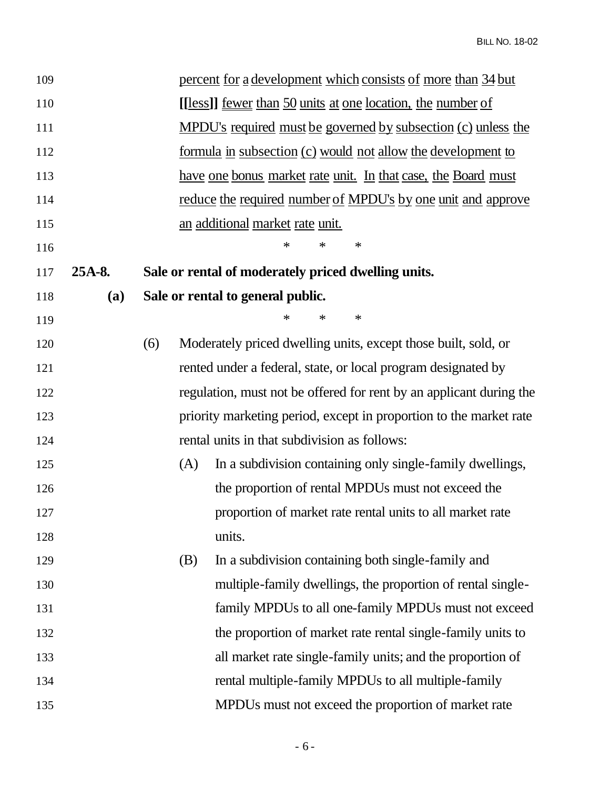| 109 |        |     |     | percent for a development which consists of more than 34 but         |
|-----|--------|-----|-----|----------------------------------------------------------------------|
| 110 |        |     |     | [[less]] <u>fewer</u> than 50 units at one location, the number of   |
| 111 |        |     |     | <u>MPDU's required must be governed by subsection (c) unless the</u> |
| 112 |        |     |     | <u>formula in subsection (c) would not allow the development to</u>  |
| 113 |        |     |     | <u>have one bonus market rate unit. In that case, the Board must</u> |
| 114 |        |     |     | reduce the required number of MPDU's by one unit and approve         |
| 115 |        |     |     | an additional market rate unit.                                      |
| 116 |        |     |     | $\ast$<br>$\ast$<br>∗                                                |
| 117 | 25A-8. |     |     | Sale or rental of moderately priced dwelling units.                  |
| 118 | (a)    |     |     | Sale or rental to general public.                                    |
| 119 |        |     |     | $\ast$<br>$\ast$<br>∗                                                |
| 120 |        | (6) |     | Moderately priced dwelling units, except those built, sold, or       |
| 121 |        |     |     | rented under a federal, state, or local program designated by        |
| 122 |        |     |     | regulation, must not be offered for rent by an applicant during the  |
| 123 |        |     |     | priority marketing period, except in proportion to the market rate   |
| 124 |        |     |     | rental units in that subdivision as follows:                         |
| 125 |        |     | (A) | In a subdivision containing only single-family dwellings,            |
| 126 |        |     |     | the proportion of rental MPDUs must not exceed the                   |
| 127 |        |     |     | proportion of market rate rental units to all market rate            |
| 128 |        |     |     | units.                                                               |
| 129 |        |     | (B) | In a subdivision containing both single-family and                   |
| 130 |        |     |     | multiple-family dwellings, the proportion of rental single-          |
| 131 |        |     |     | family MPDUs to all one-family MPDUs must not exceed                 |
| 132 |        |     |     | the proportion of market rate rental single-family units to          |
| 133 |        |     |     | all market rate single-family units; and the proportion of           |
| 134 |        |     |     | rental multiple-family MPDUs to all multiple-family                  |
| 135 |        |     |     | MPDUs must not exceed the proportion of market rate                  |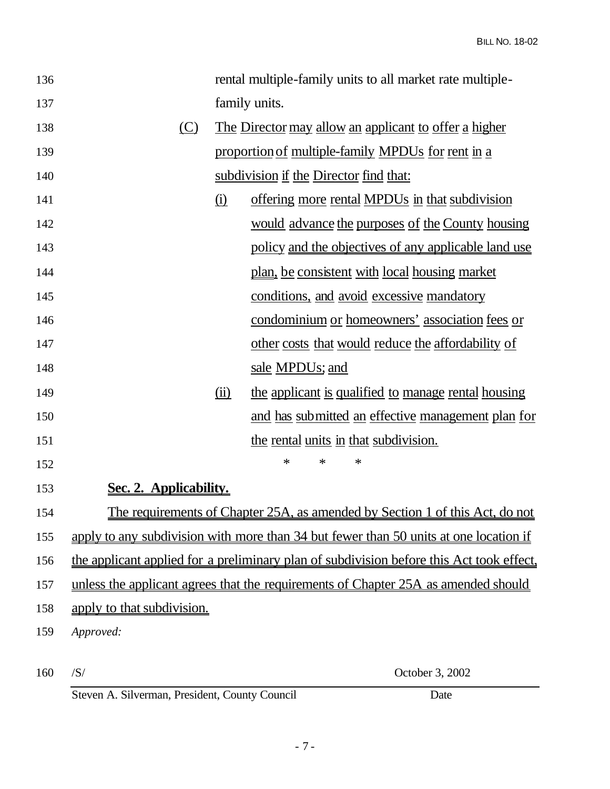| 136 |                                                                                          |                                                       | rental multiple-family units to all market rate multiple-                    |  |
|-----|------------------------------------------------------------------------------------------|-------------------------------------------------------|------------------------------------------------------------------------------|--|
| 137 |                                                                                          |                                                       | family units.                                                                |  |
| 138 | (C)                                                                                      | The Director may allow an applicant to offer a higher |                                                                              |  |
| 139 |                                                                                          | proportion of multiple-family MPDUs for rent in a     |                                                                              |  |
| 140 |                                                                                          |                                                       | subdivision if the Director find that:                                       |  |
| 141 |                                                                                          | $\Omega$                                              | offering more rental MPDUs in that subdivision                               |  |
| 142 |                                                                                          |                                                       | would advance the purposes of the County housing                             |  |
| 143 |                                                                                          |                                                       | policy and the objectives of any applicable land use                         |  |
| 144 |                                                                                          |                                                       | <u>plan, be consistent with local housing market</u>                         |  |
| 145 |                                                                                          |                                                       | conditions, and avoid excessive mandatory                                    |  |
| 146 |                                                                                          |                                                       | condominium or homeowners' association fees or                               |  |
| 147 |                                                                                          |                                                       | other costs that would reduce the affordability of                           |  |
| 148 |                                                                                          |                                                       | sale MPDUs; and                                                              |  |
| 149 |                                                                                          | $\overline{(\mathbf{ii})}$                            | the applicant is qualified to manage rental housing                          |  |
| 150 |                                                                                          |                                                       | and has submitted an effective management plan for                           |  |
| 151 |                                                                                          |                                                       | the rental units in that subdivision.                                        |  |
| 152 |                                                                                          |                                                       | $\ast$<br>$\ast$<br>$\ast$                                                   |  |
| 153 | Sec. 2. Applicability.                                                                   |                                                       |                                                                              |  |
| 154 |                                                                                          |                                                       | The requirements of Chapter 25A, as amended by Section 1 of this Act, do not |  |
| 155 | apply to any subdivision with more than 34 but fewer than 50 units at one location if    |                                                       |                                                                              |  |
| 156 | the applicant applied for a preliminary plan of subdivision before this Act took effect, |                                                       |                                                                              |  |
| 157 | unless the applicant agrees that the requirements of Chapter 25A as amended should       |                                                       |                                                                              |  |
| 158 | apply to that subdivision.                                                               |                                                       |                                                                              |  |
| 159 | Approved:                                                                                |                                                       |                                                                              |  |
| 160 | /S/                                                                                      |                                                       | October 3, 2002                                                              |  |

Steven A. Silverman, President, County Council Date